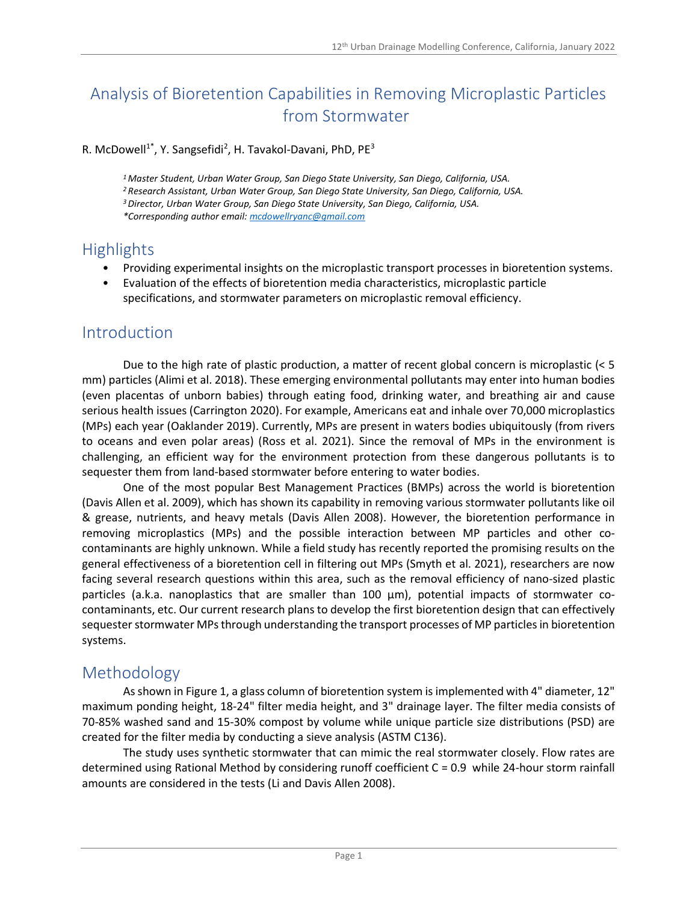# Analysis of Bioretention Capabilities in Removing Microplastic Particles from Stormwater

#### R. McDowell<sup>1\*</sup>, Y. Sangsefidi<sup>2</sup>, H. Tavakol-Davani, PhD, PE<sup>3</sup>

<sup>1</sup> Master Student, Urban Water Group, San Diego State University, San Diego, California, USA. <sup>2</sup>Research Assistant, Urban Water Group, San Diego State University, San Diego, California, USA. <sup>3</sup>Director, Urban Water Group, San Diego State University, San Diego, California, USA. \*Corresponding author email: mcdowellryanc@gmail.com

### **Highlights**

- Providing experimental insights on the microplastic transport processes in bioretention systems.
- Evaluation of the effects of bioretention media characteristics, microplastic particle specifications, and stormwater parameters on microplastic removal efficiency.

#### Introduction

Due to the high rate of plastic production, a matter of recent global concern is microplastic (< 5 mm) particles (Alimi et al. 2018). These emerging environmental pollutants may enter into human bodies (even placentas of unborn babies) through eating food, drinking water, and breathing air and cause serious health issues (Carrington 2020). For example, Americans eat and inhale over 70,000 microplastics (MPs) each year (Oaklander 2019). Currently, MPs are present in waters bodies ubiquitously (from rivers to oceans and even polar areas) (Ross et al. 2021). Since the removal of MPs in the environment is challenging, an efficient way for the environment protection from these dangerous pollutants is to sequester them from land-based stormwater before entering to water bodies.

One of the most popular Best Management Practices (BMPs) across the world is bioretention (Davis Allen et al. 2009), which has shown its capability in removing various stormwater pollutants like oil & grease, nutrients, and heavy metals (Davis Allen 2008). However, the bioretention performance in removing microplastics (MPs) and the possible interaction between MP particles and other cocontaminants are highly unknown. While a field study has recently reported the promising results on the general effectiveness of a bioretention cell in filtering out MPs (Smyth et al. 2021), researchers are now facing several research questions within this area, such as the removal efficiency of nano-sized plastic particles (a.k.a. nanoplastics that are smaller than 100 μm), potential impacts of stormwater cocontaminants, etc. Our current research plans to develop the first bioretention design that can effectively sequester stormwater MPs through understanding the transport processes of MP particles in bioretention systems.

# Methodology

As shown in Figure 1, a glass column of bioretention system is implemented with 4" diameter, 12" maximum ponding height, 18-24" filter media height, and 3" drainage layer. The filter media consists of 70-85% washed sand and 15-30% compost by volume while unique particle size distributions (PSD) are created for the filter media by conducting a sieve analysis (ASTM C136).

The study uses synthetic stormwater that can mimic the real stormwater closely. Flow rates are determined using Rational Method by considering runoff coefficient C = 0.9 while 24-hour storm rainfall amounts are considered in the tests (Li and Davis Allen 2008).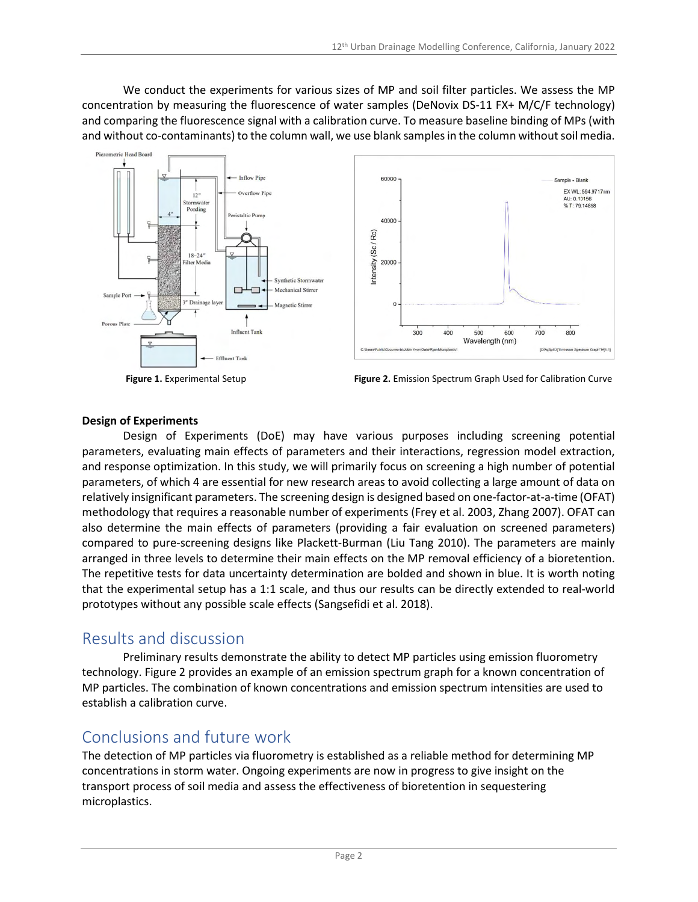We conduct the experiments for various sizes of MP and soil filter particles. We assess the MP concentration by measuring the fluorescence of water samples (DeNovix DS-11 FX+ M/C/F technology) and comparing the fluorescence signal with a calibration curve. To measure baseline binding of MPs (with and without co-contaminants) to the column wall, we use blank samples in the column without soil media.





Figure 1. Experimental Setup Figure 2. Emission Spectrum Graph Used for Calibration Curve

#### Design of Experiments

Design of Experiments (DoE) may have various purposes including screening potential parameters, evaluating main effects of parameters and their interactions, regression model extraction, and response optimization. In this study, we will primarily focus on screening a high number of potential parameters, of which 4 are essential for new research areas to avoid collecting a large amount of data on relatively insignificant parameters. The screening design is designed based on one-factor-at-a-time (OFAT) methodology that requires a reasonable number of experiments (Frey et al. 2003, Zhang 2007). OFAT can also determine the main effects of parameters (providing a fair evaluation on screened parameters) compared to pure-screening designs like Plackett-Burman (Liu Tang 2010). The parameters are mainly arranged in three levels to determine their main effects on the MP removal efficiency of a bioretention. The repetitive tests for data uncertainty determination are bolded and shown in blue. It is worth noting that the experimental setup has a 1:1 scale, and thus our results can be directly extended to real-world prototypes without any possible scale effects (Sangsefidi et al. 2018).

### Results and discussion

Preliminary results demonstrate the ability to detect MP particles using emission fluorometry technology. Figure 2 provides an example of an emission spectrum graph for a known concentration of MP particles. The combination of known concentrations and emission spectrum intensities are used to establish a calibration curve.

# Conclusions and future work

The detection of MP particles via fluorometry is established as a reliable method for determining MP concentrations in storm water. Ongoing experiments are now in progress to give insight on the transport process of soil media and assess the effectiveness of bioretention in sequestering microplastics.